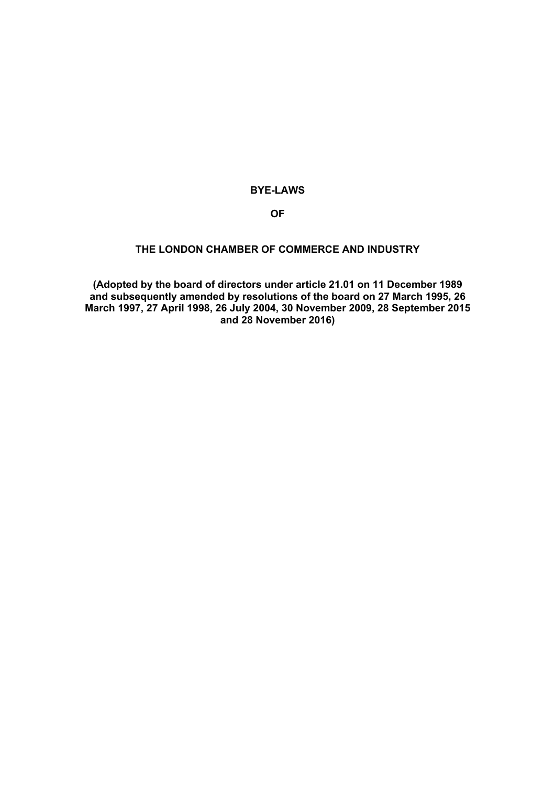# **BYE-LAWS**

### **OF**

### **THE LONDON CHAMBER OF COMMERCE AND INDUSTRY**

**(Adopted by the board of directors under article 21.01 on 11 December 1989 and subsequently amended by resolutions of the board on 27 March 1995, 26 March 1997, 27 April 1998, 26 July 2004, 30 November 2009, 28 September 2015 and 28 November 2016)**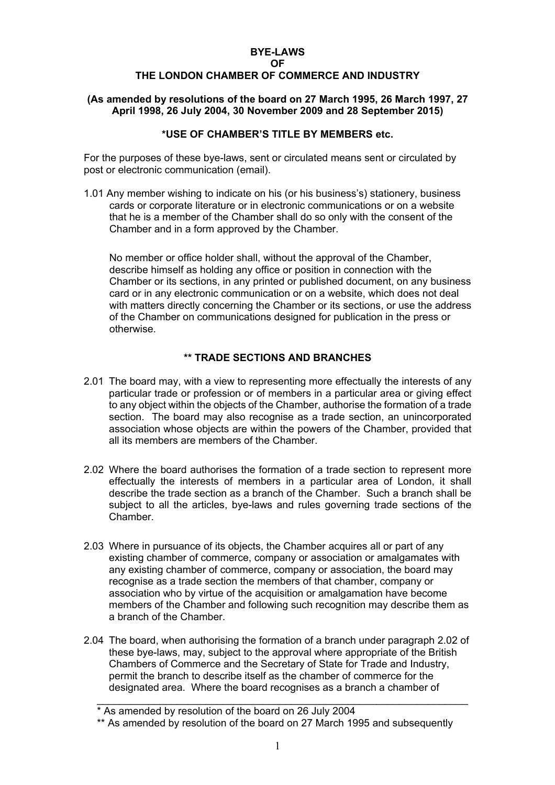# **BYE-LAWS**

#### **OF**

### **THE LONDON CHAMBER OF COMMERCE AND INDUSTRY**

#### **(As amended by resolutions of the board on 27 March 1995, 26 March 1997, 27 April 1998, 26 July 2004, 30 November 2009 and 28 September 2015)**

### **\*USE OF CHAMBER'S TITLE BY MEMBERS etc.**

For the purposes of these bye-laws, sent or circulated means sent or circulated by post or electronic communication (email).

1.01 Any member wishing to indicate on his (or his business's) stationery, business cards or corporate literature or in electronic communications or on a website that he is a member of the Chamber shall do so only with the consent of the Chamber and in a form approved by the Chamber.

 No member or office holder shall, without the approval of the Chamber, describe himself as holding any office or position in connection with the Chamber or its sections, in any printed or published document, on any business card or in any electronic communication or on a website, which does not deal with matters directly concerning the Chamber or its sections, or use the address of the Chamber on communications designed for publication in the press or otherwise.

### **\*\* TRADE SECTIONS AND BRANCHES**

- 2.01 The board may, with a view to representing more effectually the interests of any particular trade or profession or of members in a particular area or giving effect to any object within the objects of the Chamber, authorise the formation of a trade section. The board may also recognise as a trade section, an unincorporated association whose objects are within the powers of the Chamber, provided that all its members are members of the Chamber.
- 2.02 Where the board authorises the formation of a trade section to represent more effectually the interests of members in a particular area of London, it shall describe the trade section as a branch of the Chamber. Such a branch shall be subject to all the articles, bye-laws and rules governing trade sections of the Chamber.
- 2.03 Where in pursuance of its objects, the Chamber acquires all or part of any existing chamber of commerce, company or association or amalgamates with any existing chamber of commerce, company or association, the board may recognise as a trade section the members of that chamber, company or association who by virtue of the acquisition or amalgamation have become members of the Chamber and following such recognition may describe them as a branch of the Chamber.
- 2.04 The board, when authorising the formation of a branch under paragraph 2.02 of these bye-laws, may, subject to the approval where appropriate of the British Chambers of Commerce and the Secretary of State for Trade and Industry, permit the branch to describe itself as the chamber of commerce for the designated area. Where the board recognises as a branch a chamber of

<sup>\*</sup> As amended by resolution of the board on 26 July 2004

<sup>\*\*</sup> As amended by resolution of the board on 27 March 1995 and subsequently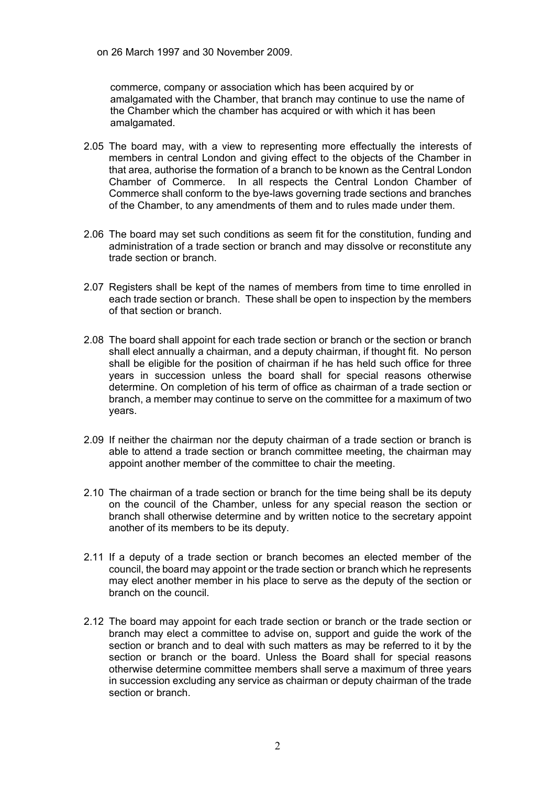on 26 March 1997 and 30 November 2009.

commerce, company or association which has been acquired by or amalgamated with the Chamber, that branch may continue to use the name of the Chamber which the chamber has acquired or with which it has been amalgamated.

- 2.05 The board may, with a view to representing more effectually the interests of members in central London and giving effect to the objects of the Chamber in that area, authorise the formation of a branch to be known as the Central London Chamber of Commerce. In all respects the Central London Chamber of Commerce shall conform to the bye-laws governing trade sections and branches of the Chamber, to any amendments of them and to rules made under them.
- 2.06 The board may set such conditions as seem fit for the constitution, funding and administration of a trade section or branch and may dissolve or reconstitute any trade section or branch.
- 2.07 Registers shall be kept of the names of members from time to time enrolled in each trade section or branch. These shall be open to inspection by the members of that section or branch.
- 2.08 The board shall appoint for each trade section or branch or the section or branch shall elect annually a chairman, and a deputy chairman, if thought fit. No person shall be eligible for the position of chairman if he has held such office for three years in succession unless the board shall for special reasons otherwise determine. On completion of his term of office as chairman of a trade section or branch, a member may continue to serve on the committee for a maximum of two years.
- 2.09 If neither the chairman nor the deputy chairman of a trade section or branch is able to attend a trade section or branch committee meeting, the chairman may appoint another member of the committee to chair the meeting.
- 2.10 The chairman of a trade section or branch for the time being shall be its deputy on the council of the Chamber, unless for any special reason the section or branch shall otherwise determine and by written notice to the secretary appoint another of its members to be its deputy.
- 2.11 If a deputy of a trade section or branch becomes an elected member of the council, the board may appoint or the trade section or branch which he represents may elect another member in his place to serve as the deputy of the section or branch on the council.
- 2.12 The board may appoint for each trade section or branch or the trade section or branch may elect a committee to advise on, support and guide the work of the section or branch and to deal with such matters as may be referred to it by the section or branch or the board. Unless the Board shall for special reasons otherwise determine committee members shall serve a maximum of three years in succession excluding any service as chairman or deputy chairman of the trade section or branch.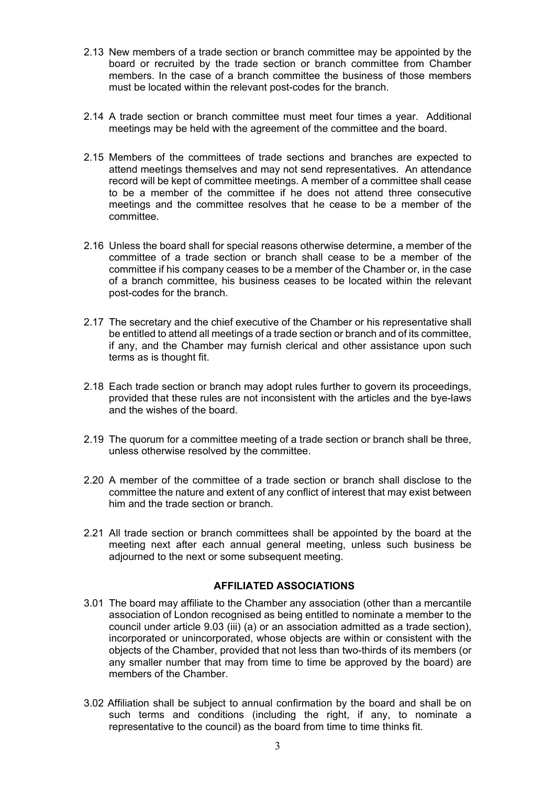- 2.13 New members of a trade section or branch committee may be appointed by the board or recruited by the trade section or branch committee from Chamber members. In the case of a branch committee the business of those members must be located within the relevant post-codes for the branch.
- 2.14 A trade section or branch committee must meet four times a year. Additional meetings may be held with the agreement of the committee and the board.
- 2.15 Members of the committees of trade sections and branches are expected to attend meetings themselves and may not send representatives. An attendance record will be kept of committee meetings. A member of a committee shall cease to be a member of the committee if he does not attend three consecutive meetings and the committee resolves that he cease to be a member of the committee.
- 2.16 Unless the board shall for special reasons otherwise determine, a member of the committee of a trade section or branch shall cease to be a member of the committee if his company ceases to be a member of the Chamber or, in the case of a branch committee, his business ceases to be located within the relevant post-codes for the branch.
- 2.17 The secretary and the chief executive of the Chamber or his representative shall be entitled to attend all meetings of a trade section or branch and of its committee, if any, and the Chamber may furnish clerical and other assistance upon such terms as is thought fit.
- 2.18 Each trade section or branch may adopt rules further to govern its proceedings, provided that these rules are not inconsistent with the articles and the bye-laws and the wishes of the board.
- 2.19 The quorum for a committee meeting of a trade section or branch shall be three, unless otherwise resolved by the committee.
- 2.20 A member of the committee of a trade section or branch shall disclose to the committee the nature and extent of any conflict of interest that may exist between him and the trade section or branch.
- 2.21 All trade section or branch committees shall be appointed by the board at the meeting next after each annual general meeting, unless such business be adjourned to the next or some subsequent meeting.

### **AFFILIATED ASSOCIATIONS**

- 3.01 The board may affiliate to the Chamber any association (other than a mercantile association of London recognised as being entitled to nominate a member to the council under article 9.03 (iii) (a) or an association admitted as a trade section), incorporated or unincorporated, whose objects are within or consistent with the objects of the Chamber, provided that not less than two-thirds of its members (or any smaller number that may from time to time be approved by the board) are members of the Chamber.
- 3.02 Affiliation shall be subject to annual confirmation by the board and shall be on such terms and conditions (including the right, if any, to nominate a representative to the council) as the board from time to time thinks fit.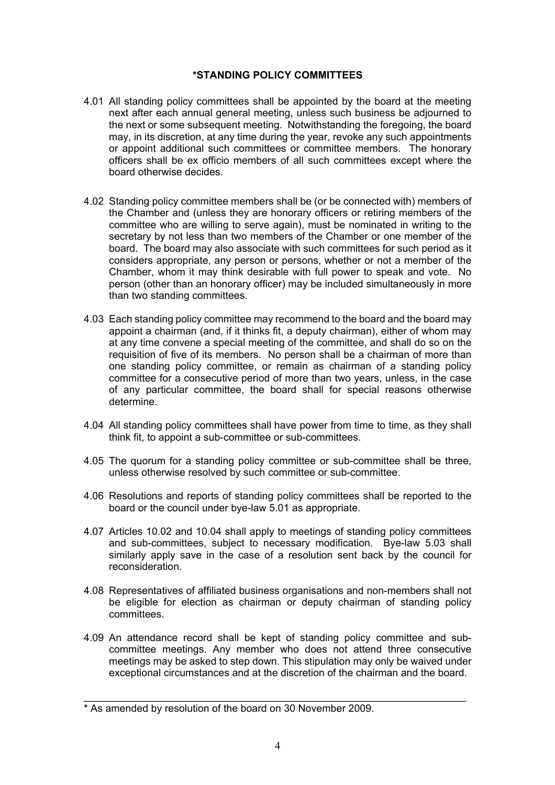## **\*STANDING POLICY COMMITTEES**

- 4.01 All standing policy committees shall be appointed by the board at the meeting next after each annual general meeting, unless such business be adjourned to the next or some subsequent meeting. Notwithstanding the foregoing, the board may, in its discretion, at any time during the year, revoke any such appointments or appoint additional such committees or committee members. The honorary officers shall be ex officio members of all such committees except where the board otherwise decides.
- 4.02 Standing policy committee members shall be (or be connected with) members of the Chamber and (unless they are honorary officers or retiring members of the committee who are willing to serve again), must be nominated in writing to the secretary by not less than two members of the Chamber or one member of the board. The board may also associate with such committees for such period as it considers appropriate, any person or persons, whether or not a member of the Chamber, whom it may think desirable with full power to speak and vote. No person (other than an honorary officer) may be included simultaneously in more than two standing committees.
- 4.03 Each standing policy committee may recommend to the board and the board may appoint a chairman (and, if it thinks fit, a deputy chairman), either of whom may at any time convene a special meeting of the committee, and shall do so on the requisition of five of its members. No person shall be a chairman of more than one standing policy committee, or remain as chairman of a standing policy committee for a consecutive period of more than two years, unless, in the case of any particular committee, the board shall for special reasons otherwise determine.
- 4.04 All standing policy committees shall have power from time to time, as they shall think fit, to appoint a sub-committee or sub-committees.
- 4.05 The quorum for a standing policy committee or sub-committee shall be three, unless otherwise resolved by such committee or sub-committee.
- 4.06 Resolutions and reports of standing policy committees shall be reported to the board or the council under bye-law 5.01 as appropriate.
- 4.07 Articles 10.02 and 10.04 shall apply to meetings of standing policy committees and sub-committees, subject to necessary modification. Bye-law 5.03 shall similarly apply save in the case of a resolution sent back by the council for reconsideration.
- 4.08 Representatives of affiliated business organisations and non-members shall not be eligible for election as chairman or deputy chairman of standing policy committees.
- 4.09 An attendance record shall be kept of standing policy committee and subcommittee meetings. Any member who does not attend three consecutive meetings may be asked to step down. This stipulation may only be waived under exceptional circumstances and at the discretion of the chairman and the board.

<sup>\*</sup> As amended by resolution of the board on 30 November 2009.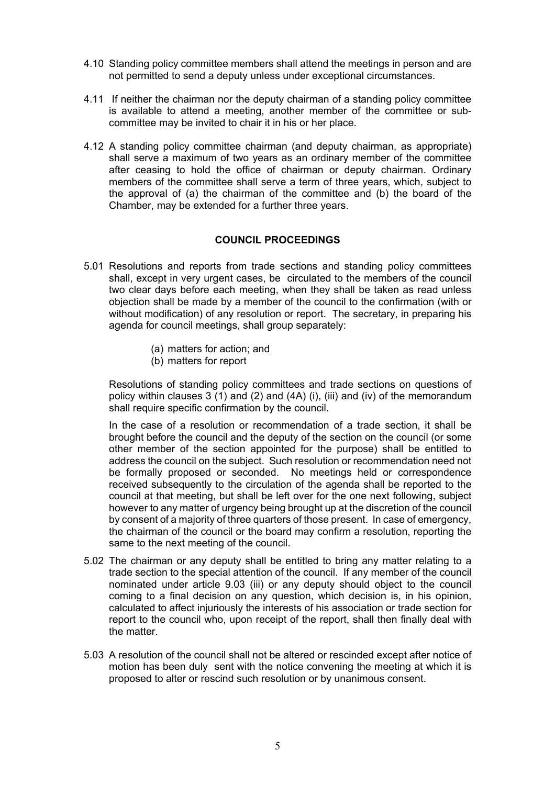- 4.10 Standing policy committee members shall attend the meetings in person and are not permitted to send a deputy unless under exceptional circumstances.
- 4.11 If neither the chairman nor the deputy chairman of a standing policy committee is available to attend a meeting, another member of the committee or subcommittee may be invited to chair it in his or her place.
- 4.12 A standing policy committee chairman (and deputy chairman, as appropriate) shall serve a maximum of two years as an ordinary member of the committee after ceasing to hold the office of chairman or deputy chairman. Ordinary members of the committee shall serve a term of three years, which, subject to the approval of (a) the chairman of the committee and (b) the board of the Chamber, may be extended for a further three years.

### **COUNCIL PROCEEDINGS**

- 5.01 Resolutions and reports from trade sections and standing policy committees shall, except in very urgent cases, be circulated to the members of the council two clear days before each meeting, when they shall be taken as read unless objection shall be made by a member of the council to the confirmation (with or without modification) of any resolution or report. The secretary, in preparing his agenda for council meetings, shall group separately:
	- (a) matters for action; and
	- (b) matters for report

Resolutions of standing policy committees and trade sections on questions of policy within clauses 3 (1) and (2) and (4A) (i), (iii) and (iv) of the memorandum shall require specific confirmation by the council.

In the case of a resolution or recommendation of a trade section, it shall be brought before the council and the deputy of the section on the council (or some other member of the section appointed for the purpose) shall be entitled to address the council on the subject. Such resolution or recommendation need not be formally proposed or seconded. No meetings held or correspondence received subsequently to the circulation of the agenda shall be reported to the council at that meeting, but shall be left over for the one next following, subject however to any matter of urgency being brought up at the discretion of the council by consent of a majority of three quarters of those present. In case of emergency, the chairman of the council or the board may confirm a resolution, reporting the same to the next meeting of the council.

- 5.02 The chairman or any deputy shall be entitled to bring any matter relating to a trade section to the special attention of the council. If any member of the council nominated under article 9.03 (iii) or any deputy should object to the council coming to a final decision on any question, which decision is, in his opinion, calculated to affect injuriously the interests of his association or trade section for report to the council who, upon receipt of the report, shall then finally deal with the matter.
- 5.03 A resolution of the council shall not be altered or rescinded except after notice of motion has been duly sent with the notice convening the meeting at which it is proposed to alter or rescind such resolution or by unanimous consent.